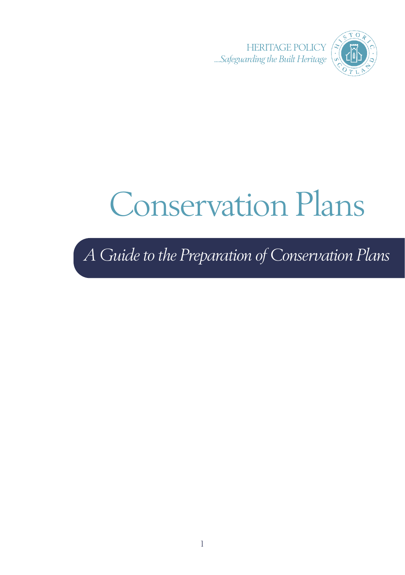HERITAGE POLICY *....Safeguarding the Built Heritage*



# Conservation Plans

*A Guide to the Preparation of Conservation Plans*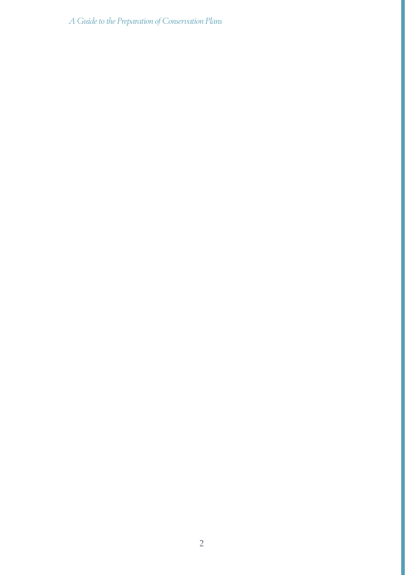*A Guide to the Preparation of Conservation Plans*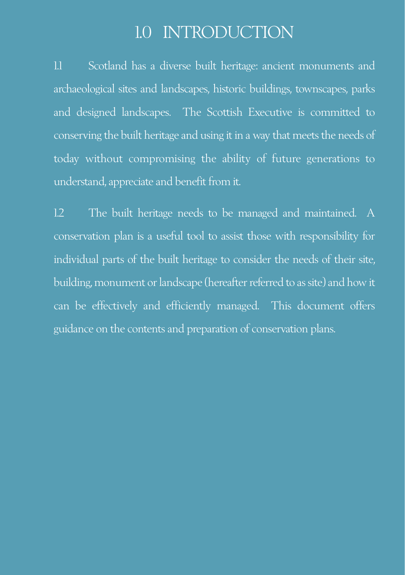### 1.0 INTRODUCTION

1.1 Scotland has a diverse built heritage: ancient monuments and archaeological sites and landscapes, historic buildings, townscapes, parks and designed landscapes. The Scottish Executive is committed to conserving the built heritage and using it in a way that meets the needs of today without compromising the ability of future generations to understand, appreciate and benefit from it.

1.2 The built heritage needs to be managed and maintained. A conservation plan is a useful tool to assist those with responsibility for individual parts of the built heritage to consider the needs of their site, building, monument or landscape (hereafter referred to as site) and how it can be effectively and efficiently managed. This document offers guidance on the contents and preparation of conservation plans.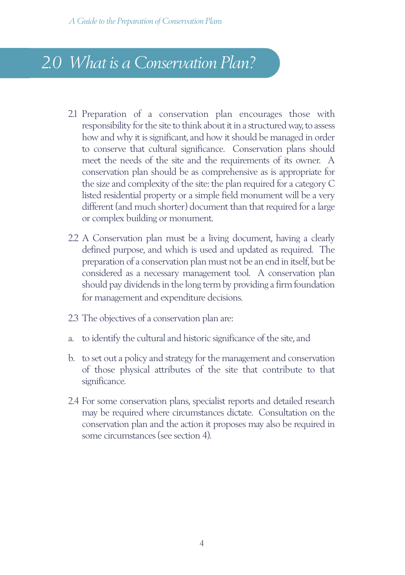## *2.0 What is a Conservation Plan?*

- 2.1 Preparation of a conservation plan encourages those with responsibility for the site to think about it in a structured way, to assess how and why it is significant, and how it should be managed in order to conserve that cultural significance. Conservation plans should meet the needs of the site and the requirements of its owner. A conservation plan should be as comprehensive as is appropriate for the size and complexity of the site: the plan required for a category C listed residential property or a simple field monument will be a very different (and much shorter) document than that required for a large or complex building or monument.
- 2.2 A Conservation plan must be a living document, having a clearly defined purpose, and which is used and updated as required. The preparation of a conservation plan must not be an end in itself, but be considered as a necessary management tool. A conservation plan should pay dividends in the long term by providing a firm foundation for management and expenditure decisions.
- 2.3 The objectives of a conservation plan are:
- a. to identify the cultural and historic significance of the site, and
- b. to set out a policy and strategy for the management and conservation of those physical attributes of the site that contribute to that significance.
- 2.4 For some conservation plans, specialist reports and detailed research may be required where circumstances dictate. Consultation on the conservation plan and the action it proposes may also be required in some circumstances (see section 4).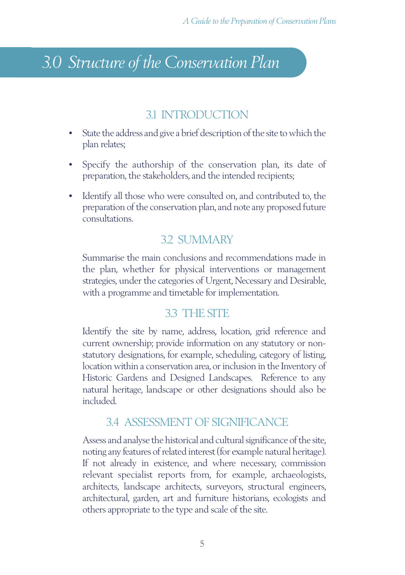## *3.0 Structure of the Conservation Plan*

#### 3.1 INTRODUCTION

- State the address and give a brief description of the site to which the plan relates;
- Specify the authorship of the conservation plan, its date of preparation, the stakeholders, and the intended recipients;
- Identify all those who were consulted on, and contributed to, the preparation of the conservation plan, and note any proposed future consultations.

#### 32 SUMMARY

Summarise the main conclusions and recommendations made in the plan, whether for physical interventions or management strategies, under the categories of Urgent, Necessary and Desirable, with a programme and timetable for implementation.

#### 33 THE SITE

Identify the site by name, address, location, grid reference and current ownership; provide information on any statutory or nonstatutory designations, for example, scheduling, category of listing, location within a conservation area, or inclusion in the Inventory of Historic Gardens and Designed Landscapes. Reference to any natural heritage, landscape or other designations should also be included.

#### 3.4 ASSESSMENT OF SIGNIFICANCE

Assess and analyse the historical and cultural significance of the site, noting any features of related interest (for example natural heritage). If not already in existence, and where necessary, commission relevant specialist reports from, for example, archaeologists, architects, landscape architects, surveyors, structural engineers, architectural, garden, art and furniture historians, ecologists and others appropriate to the type and scale of the site.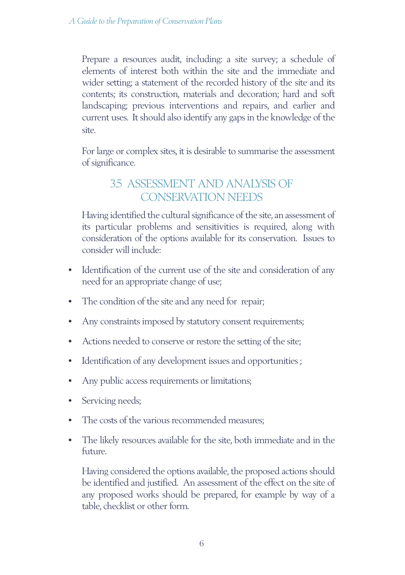Prepare a resources audit, including: a site survey; a schedule of elements of interest both within the site and the immediate and wider setting; a statement of the recorded history of the site and its contents; its construction, materials and decoration; hard and soft landscaping; previous interventions and repairs, and earlier and current uses. It should also identify any gaps in the knowledge of the site.

For large or complex sites, it is desirable to summarise the assessment of significance.

#### 3.5 ASSESSMENT AND ANALYSIS OF CONSERVATION NEEDS

Having identified the cultural significance of the site, an assessment of its particular problems and sensitivities is required, along with consideration of the options available for its conservation. Issues to consider will include:

- Identification of the current use of the site and consideration of any need for an appropriate change of use;
- The condition of the site and any need for repair;
- Any constraints imposed by statutory consent requirements;
- Actions needed to conserve or restore the setting of the site;
- Identification of any development issues and opportunities ;
- Any public access requirements or limitations;
- Servicing needs;
- The costs of the various recommended measures;
- The likely resources available for the site, both immediate and in the future.

Having considered the options available, the proposed actions should be identified and justified. An assessment of the effect on the site of any proposed works should be prepared, for example by way of a table, checklist or other form.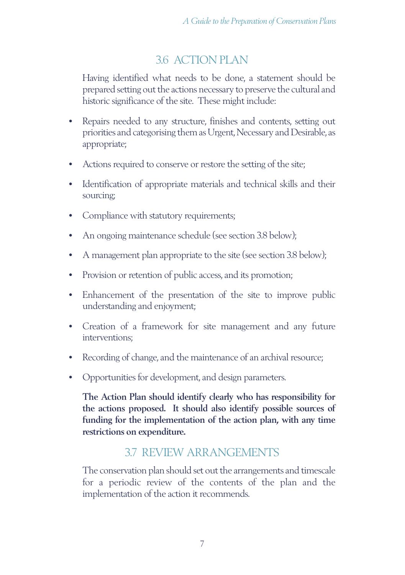#### 36 ACTION PLAN

Having identified what needs to be done, a statement should be prepared setting out the actions necessary to preserve the cultural and historic significance of the site. These might include:

- Repairs needed to any structure, finishes and contents, setting out priorities and categorising them as Urgent, Necessary and Desirable, as appropriate;
- Actions required to conserve or restore the setting of the site;
- Identification of appropriate materials and technical skills and their sourcing;
- Compliance with statutory requirements;
- An ongoing maintenance schedule (see section 3.8 below);
- A management plan appropriate to the site (see section 3.8 below);
- Provision or retention of public access, and its promotion;
- Enhancement of the presentation of the site to improve public understanding and enjoyment;
- Creation of a framework for site management and any future interventions;
- Recording of change, and the maintenance of an archival resource:
- Opportunities for development, and design parameters.

**The Action Plan should identify clearly who has responsibility for the actions proposed. It should also identify possible sources of funding for the implementation of the action plan, with any time restrictions on expenditure.**

#### 3.7 REVIEW ARRANGEMENTS

The conservation plan should set out the arrangements and timescale for a periodic review of the contents of the plan and the implementation of the action it recommends.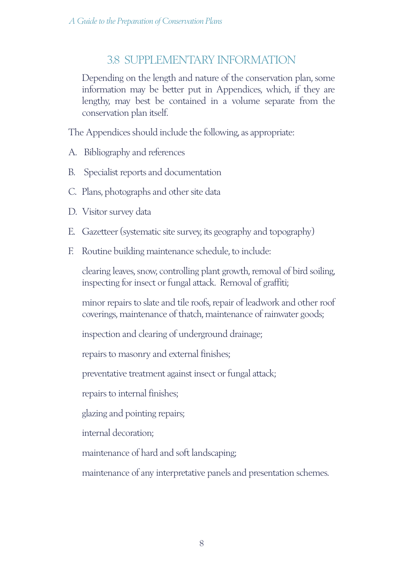#### 3.8 SUPPLEMENTARY INFORMATION

Depending on the length and nature of the conservation plan, some information may be better put in Appendices, which, if they are lengthy, may best be contained in a volume separate from the conservation plan itself.

The Appendices should include the following, as appropriate:

- A. Bibliography and references
- B. Specialist reports and documentation
- C. Plans, photographs and other site data
- D. Visitor survey data
- E. Gazetteer (systematic site survey, its geography and topography)
- F. Routine building maintenance schedule, to include:

clearing leaves, snow, controlling plant growth, removal of bird soiling, inspecting for insect or fungal attack. Removal of graffiti;

minor repairs to slate and tile roofs, repair of leadwork and other roof coverings, maintenance of thatch, maintenance of rainwater goods;

inspection and clearing of underground drainage;

repairs to masonry and external finishes;

preventative treatment against insect or fungal attack;

repairs to internal finishes;

glazing and pointing repairs;

internal decoration;

maintenance of hard and soft landscaping;

maintenance of any interpretative panels and presentation schemes.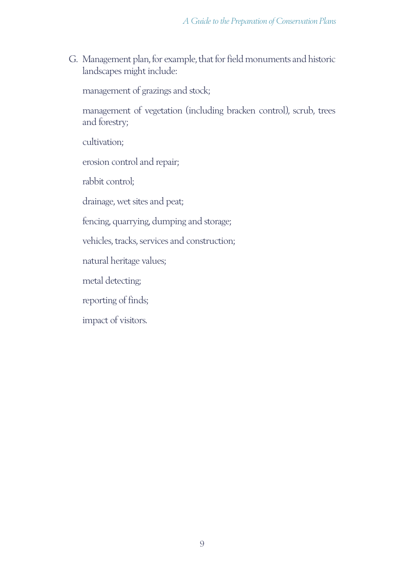G. Management plan, for example, that for field monuments and historic landscapes might include:

management of grazings and stock;

management of vegetation (including bracken control), scrub, trees and forestry;

cultivation;

erosion control and repair;

rabbit control;

drainage, wet sites and peat;

fencing, quarrying, dumping and storage;

vehicles, tracks, services and construction;

natural heritage values;

metal detecting;

reporting of finds;

impact of visitors.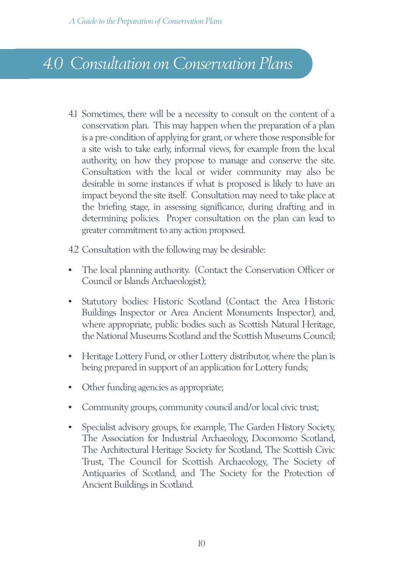## *4.0 Consultation on Conservation Plans*

4.1 Sometimes, there will be a necessity to consult on the content of a conservation plan. This may happen when the preparation of a plan is a pre-condition of applying for grant, or where those responsible for a site wish to take early, informal views, for example from the local authority, on how they propose to manage and conserve the site. Consultation with the local or wider community may also be desirable in some instances if what is proposed is likely to have an impact beyond the site itself. Consultation may need to take place at the briefing stage, in assessing significance, during drafting and in determining policies. Proper consultation on the plan can lead to greater commitment to any action proposed.

4.2 Consultation with the following may be desirable:

- The local planning authority. (Contact the Conservation Officer or Council or Islands Archaeologist);
- Statutory bodies: Historic Scotland (Contact the Area Historic Buildings Inspector or Area Ancient Monuments Inspector), and, where appropriate, public bodies such as Scottish Natural Heritage, the National Museums Scotland and the Scottish Museums Council;
- Heritage Lottery Fund, or other Lottery distributor, where the plan is being prepared in support of an application for Lottery funds;
- Other funding agencies as appropriate;
- Community groups, community council and/or local civic trust;
- Specialist advisory groups, for example, The Garden History Society, The Association for Industrial Archaeology, Docomomo Scotland, The Architectural Heritage Society for Scotland, The Scottish Civic Trust, The Council for Scottish Archaeology, The Society of Antiquaries of Scotland, and The Society for the Protection of Ancient Buildings in Scotland.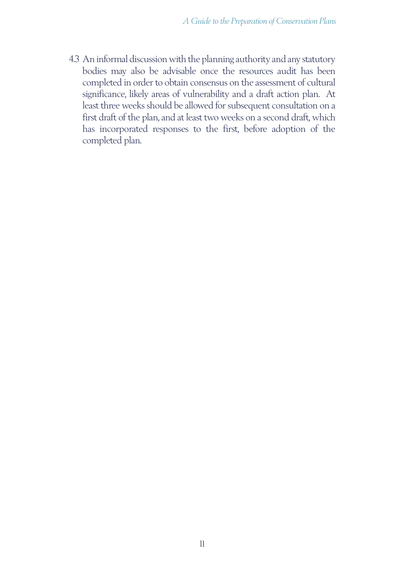4.3 An informal discussion with the planning authority and any statutory bodies may also be advisable once the resources audit has been completed in order to obtain consensus on the assessment of cultural significance, likely areas of vulnerability and a draft action plan. At least three weeks should be allowed for subsequent consultation on a first draft of the plan, and at least two weeks on a second draft, which has incorporated responses to the first, before adoption of the completed plan.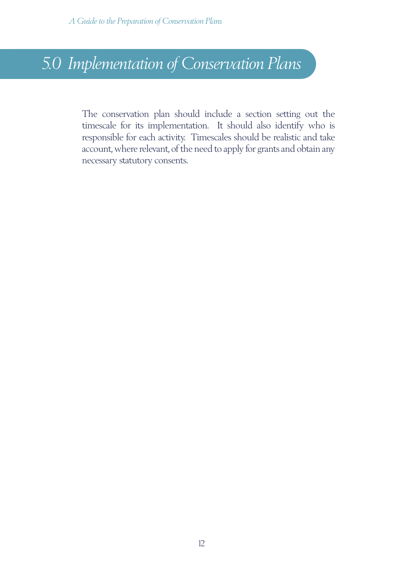## *5.0 Implementation of Conservation Plans*

The conservation plan should include a section setting out the timescale for its implementation. It should also identify who is responsible for each activity. Timescales should be realistic and take account, where relevant, of the need to apply for grants and obtain any necessary statutory consents.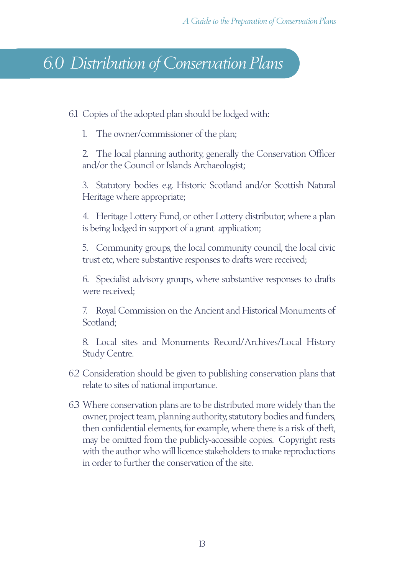## *6.0 Distribution of Conservation Plans*

6.1 Copies of the adopted plan should be lodged with:

1. The owner/commissioner of the plan;

2. The local planning authority, generally the Conservation Officer and/or the Council or Islands Archaeologist;

3. Statutory bodies e.g. Historic Scotland and/or Scottish Natural Heritage where appropriate;

4. Heritage Lottery Fund, or other Lottery distributor, where a plan is being lodged in support of a grant application;

5. Community groups, the local community council, the local civic trust etc, where substantive responses to drafts were received;

6. Specialist advisory groups, where substantive responses to drafts were received;

7. Royal Commission on the Ancient and Historical Monuments of Scotland;

8. Local sites and Monuments Record/Archives/Local History Study Centre.

- 6.2 Consideration should be given to publishing conservation plans that relate to sites of national importance.
- 6.3 Where conservation plans are to be distributed more widely than the owner, project team, planning authority, statutory bodies and funders, then confidential elements, for example, where there is a risk of theft, may be omitted from the publicly-accessible copies. Copyright rests with the author who will licence stakeholders to make reproductions in order to further the conservation of the site.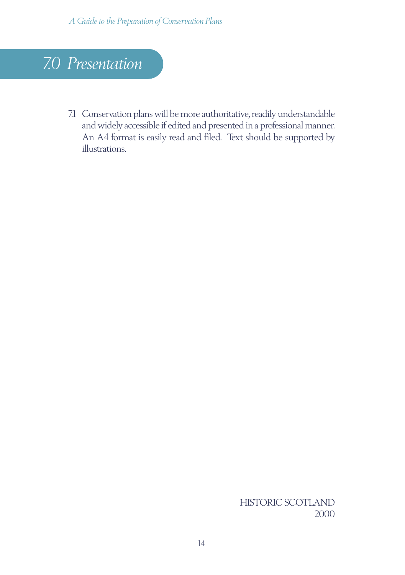## *7.0 Presentation*

7.1 Conservation plans will be more authoritative, readily understandable and widely accessible if edited and presented in a professional manner. An A4 format is easily read and filed. Text should be supported by illustrations.

> HISTORIC SCOTLAND 2000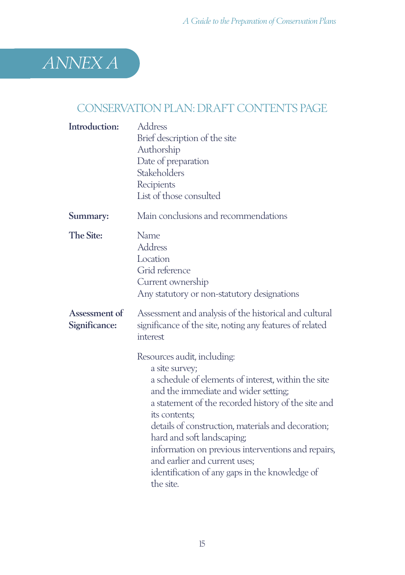## *ANNEX A*

#### CONSERVATION PLAN: DRAFT CONTENTS PAGE

| Introduction:                  | Address<br>Brief description of the site<br>Authorship<br>Date of preparation<br>Stakeholders<br>Recipients<br>List of those consulted                                                                                                                                                                                                                                                                                                                         |
|--------------------------------|----------------------------------------------------------------------------------------------------------------------------------------------------------------------------------------------------------------------------------------------------------------------------------------------------------------------------------------------------------------------------------------------------------------------------------------------------------------|
| Summary:                       | Main conclusions and recommendations                                                                                                                                                                                                                                                                                                                                                                                                                           |
| <b>The Site:</b>               | Name<br>Address<br>Location<br>Grid reference<br>Current ownership<br>Any statutory or non-statutory designations                                                                                                                                                                                                                                                                                                                                              |
| Assessment of<br>Significance: | Assessment and analysis of the historical and cultural<br>significance of the site, noting any features of related<br>interest                                                                                                                                                                                                                                                                                                                                 |
|                                | Resources audit, including:<br>a site survey;<br>a schedule of elements of interest, within the site<br>and the immediate and wider setting;<br>a statement of the recorded history of the site and<br>its contents;<br>details of construction, materials and decoration;<br>hard and soft landscaping;<br>information on previous interventions and repairs,<br>and earlier and current uses;<br>identification of any gaps in the knowledge of<br>the site. |